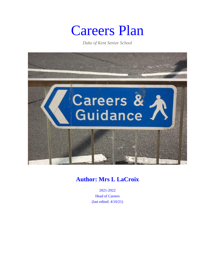# Careers Plan

*Duke of Kent Senior School*



# **Author: Mrs L LaCroix**

2021-2022 Head of Careers (last edited: 4/10/21)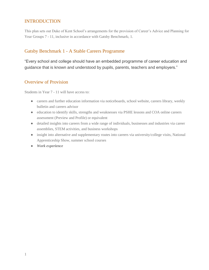# INTRODUCTION

This plan sets out Duke of Kent School's arrangements for the provision of Career's Advice and Planning for Year Groups 7 - 11, inclusive in accordance with Gatsby Benchmark<sub>1</sub> 1.

## Gatsby Benchmark 1 - A Stable Careers Programme

"Every school and college should have an embedded programme of career education and guidance that is known and understood by pupils, parents, teachers and employers."

## Overview of Provision

Students in Year 7 - 11 will have access to:

- careers and further education information via noticeboards, school website, careers library, weekly bulletin and careers advisor
- education to identify skills, strengths and weaknesses via PSHE lessons and COA online careers assessment (Preview and Profile) or equivalent
- detailed insights into careers from a wide range of individuals, businesses and industries via career assemblies, STEM activities, and business workshops
- insight into alternative and supplementary routes into careers via university/college visits, National Apprenticeship Show, summer school courses
- *Work experience*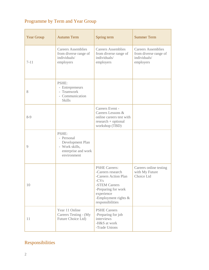# Programme by Term and Year Group

| <b>Year Group</b> | <b>Autumn Term</b>                                                                              | Spring term                                                                                                                                                                      | <b>Summer Term</b>                                                              |
|-------------------|-------------------------------------------------------------------------------------------------|----------------------------------------------------------------------------------------------------------------------------------------------------------------------------------|---------------------------------------------------------------------------------|
| $7 - 11$          | <b>Careers Assemblies</b><br>from diverse range of<br>individuals/<br>employers                 | <b>Careers Assemblies</b><br>from diverse range of<br>individuals/<br>employers                                                                                                  | <b>Careers Assemblies</b><br>from diverse range of<br>individuals/<br>employers |
| 8                 | PSHE:<br>- Entrepreneurs<br>- Teamwork<br>- Communication<br><b>Skills</b>                      |                                                                                                                                                                                  |                                                                                 |
| $8-9$             |                                                                                                 | Careers Event -<br>Careers Lessons &<br>online careers test with<br>$research + optional$<br>workshop (TBD)                                                                      |                                                                                 |
| 9                 | PSHE:<br>- Personal<br>Development Plan<br>- Work skills,<br>enterprise and work<br>environment |                                                                                                                                                                                  |                                                                                 |
| 10                |                                                                                                 | <b>PSHE Careers:</b><br>-Careers research<br>-Careers Action Plan<br>$-CVs$<br>-STEM Careers<br>-Preparing for work<br>experience<br>-Employment rights $\&$<br>responsibilities | Careers online testing<br>with My Future<br>Choice Ltd                          |
| 11                | Year 11 Online<br>Careers Testing - (My<br>Future Choice Ltd)                                   | <b>PSHE Careers</b><br>-Preparing for job<br>interviews<br>-H&S at work<br>-Trade Unions                                                                                         |                                                                                 |

# Responsibilities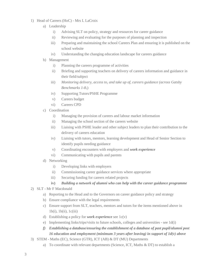- 1) Head of Careers (HoC) Mrs L LaCroix
	- a) Leadership
		- i) Advising SLT on policy, strategy and resources for career guidance
		- ii) Reviewing and evaluating for the purposes of planning and inspection
		- iii) Preparing and maintaining the school Careers Plan and ensuring it is published on the school website
		- iv) Understanding the changing education landscape for careers guidance
	- b) Management
		- i) Planning the careers programme of activities
		- ii) Briefing and supporting teachers on delivery of careers information and guidance in their field/subject
		- iii) *Monitoring delivery, access to, and take up of, careers guidance (across Gatsby Benchmarks 1-81*)
		- iv) Supporting Tutors/PSHE Programme
		- v) Careers budget
		- vi) Careers CPD
	- c) Coordination
		- i) Managing the provision of careers and labour market information
		- ii) Managing the school section of the careers website
		- iii) Liaising with PSHE leader and other subject leaders to plan their contribution to the delivery of careers education
		- iv) Liaising with tutors, mentors, learning development and Head of Senior Section to identify pupils needing guidance
		- v) Coordinating encounters with employers and *work experience*
		- vi) Communicating with pupils and parents
	- d) Networking
		- i) Developing links with employers
		- ii) Commissioning career guidance services where appropriate
		- iii) Securing funding for careers related projects

#### **iv)** *Building a network of alumni who can help with the career guidance programme*

- 2) SLT Mr F Macdonald
	- a) Reporting to the Head and to the Governors on career guidance policy and strategy
	- b) Ensure compliance with the legal requirements
	- c) Ensure support from SLT, teachers, mentors and tutors for the items mentioned above in  $1b(i)$ ,  $1b(ii)$ ,  $1c(iii)$
	- d) Establishing a policy for *work experience* see 1c(v)
	- e) Implementing links/trips/visits to future schools, colleges and universities see 1d(i)
	- *f) Establishing a database/ensuring the establishment of a database of past pupil/alumni post 16 education and employment (minimum 3 years after leaving) in support of 1d(v) above*
- 3) STEM Maths (EC), Science (GTR), ICT (AB) & DT (MU) Departments
	- a) To coordinate with relevant departments (Science, ICT, Maths & DT) to establish a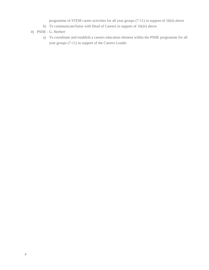programme of STEM career activities for all year groups (7-11) in support of 1b(ii) above

- b) To communicate/liaise with Head of Careers in support of 1b(iii) above
- 4) PSHE G. Herbert
	- a) To coordinate and establish a careers education element within the PSHE programme for all year groups (7-11) in support of the Careers Leader.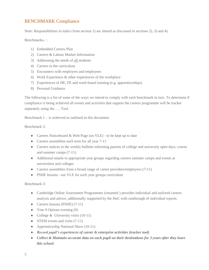# BENCHMARK Compliance

Note: Responsibilities in italics from section 1) are shared as discussed in sections 2), 3) and 4).

Benchmarks<sub>1</sub>:

- 1) Embedded Careers Plan
- 2) Careers & Labour Market Information
- 3) Addressing the needs of all students
- 4) Careers in the curriculum
- 5) Encounters with employers and employees
- 6) Work Experience & other experiences of the workplace
- 7) Experiences of HE, FE and work-based training (e.g. apprenticeships)
- 8) Personal Guidance

The following is a list of some of the ways we intend to comply with each benchmark in turn. To determine if compliance is being achieved all events and activities that support the careers programme will be tracker separately using the …. Tool.

Benchmark 1 - is achieved as outlined in this document.

Benchmark 2:

- Careers Noticeboard & Web Page (on VLE) to be kept up to date
- Careers assemblies each term for all year 7-11
- Careers notices in the weekly bulletin informing parents of college and university open days, course and summer camps (7-11)
- Additional emails to appropriate year groups regarding careers summer camps and events at universities and colleges
- Careers assemblies from a broad range of career providers/employees (7-11)
- PSHE lessons see VLE for each year groups curriculum

Benchmark 3:

- Cambridge Online Assessment Programmes (renamed ) provides individual and taylored careers analysis and advice, additionally supported by the HoC with runthrough of individual reports.
- Careers lessons (PSHE) (7-11)
- Year 9 Options evening (9)
- College & University visits (10-11)
- STEM events and visits  $(7-11)$
- Apprenticeship National Show (10-11)
- *Record pupil's experiences of career & enterprise activities (tracker tool)*
- *Collect & Maintain accurate data on each pupil on their destinations for 3 years after they leave this school.*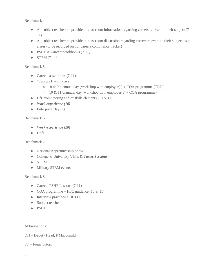Benchmark 4:

- All subject teachers to provide in-classroom information regarding careers relevant to their subject (7- 11)
- All subject teachers to provide in-classroom discussion regarding careers relevant to their subject as it arises (to be recorded on our careers compliance tracker)
- PSHE & Careers workbooks (7-11)
- STEM  $(7-11)$

#### Benchmark 5

- Careers assemblies (7-11)
- "Careers Event" days
	- $\circ$  8 & 9 biannual day (workshop with employer(s) + COA programme (TBD)
	- $\circ$  10 & 11 biannual day (workshop with employer(s) + COA programme)
- DfE volunteering and/or skills elements  $(10 \& 11)$
- *Work experience (10)*
- $\bullet$  Enterprise Day (9)

#### Benchmark 6

- *Work experience (10)*
- DofE

#### Benchmark 7

- National Apprenticeship Show
- College & University Visits & *Taster Sessions*
- STEM
- Military STEM events

#### Benchmark 8

- Careers PSHE Lessons (7-11)
- COA programme + HoC guidance  $(10 \& 11)$
- Interview practice/PSHE (11)
- Subject teachers
- PSHE

Abbreviations:

DH = Deputy Head, F Macdonald

 $FT = Form$  Tutors